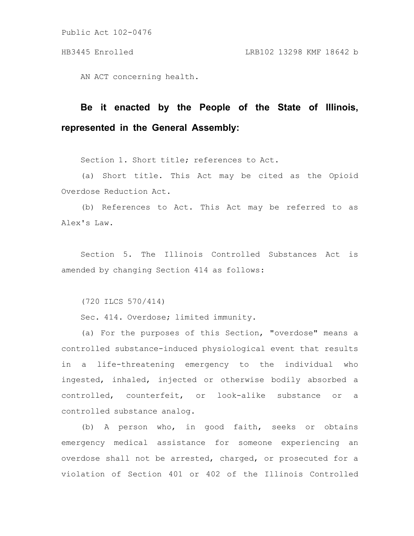AN ACT concerning health.

## **Be it enacted by the People of the State of Illinois, represented in the General Assembly:**

Section 1. Short title; references to Act.

(a) Short title. This Act may be cited as the Opioid Overdose Reduction Act.

(b) References to Act. This Act may be referred to as Alex's Law.

Section 5. The Illinois Controlled Substances Act is amended by changing Section 414 as follows:

(720 ILCS 570/414)

Sec. 414. Overdose; limited immunity.

(a) For the purposes of this Section, "overdose" means a controlled substance-induced physiological event that results in a life-threatening emergency to the individual who ingested, inhaled, injected or otherwise bodily absorbed a controlled, counterfeit, or look-alike substance or a controlled substance analog.

(b) A person who, in good faith, seeks or obtains emergency medical assistance for someone experiencing an overdose shall not be arrested, charged, or prosecuted for a violation of Section 401 or 402 of the Illinois Controlled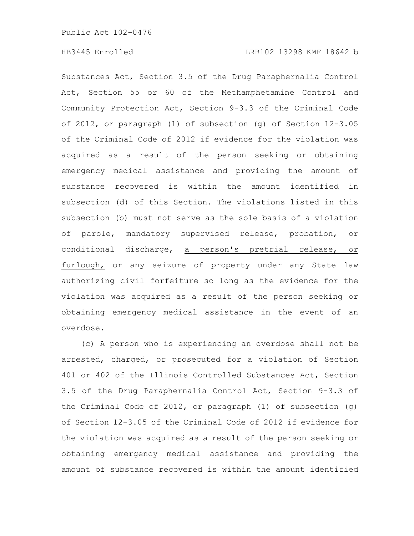Substances Act, Section 3.5 of the Drug Paraphernalia Control Act, Section 55 or 60 of the Methamphetamine Control and Community Protection Act, Section 9-3.3 of the Criminal Code of 2012, or paragraph (1) of subsection (g) of Section 12-3.05 of the Criminal Code of 2012 if evidence for the violation was acquired as a result of the person seeking or obtaining emergency medical assistance and providing the amount of substance recovered is within the amount identified in subsection (d) of this Section. The violations listed in this subsection (b) must not serve as the sole basis of a violation of parole, mandatory supervised release, probation, or conditional discharge, a person's pretrial release, or furlough, or any seizure of property under any State law authorizing civil forfeiture so long as the evidence for the violation was acquired as a result of the person seeking or obtaining emergency medical assistance in the event of an overdose.

(c) A person who is experiencing an overdose shall not be arrested, charged, or prosecuted for a violation of Section 401 or 402 of the Illinois Controlled Substances Act, Section 3.5 of the Drug Paraphernalia Control Act, Section 9-3.3 of the Criminal Code of 2012, or paragraph (1) of subsection (g) of Section 12-3.05 of the Criminal Code of 2012 if evidence for the violation was acquired as a result of the person seeking or obtaining emergency medical assistance and providing the amount of substance recovered is within the amount identified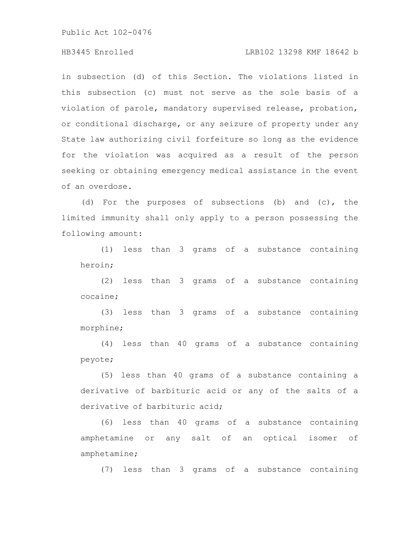## HB3445 Enrolled LRB102 13298 KMF 18642 b

in subsection (d) of this Section. The violations listed in this subsection (c) must not serve as the sole basis of a violation of parole, mandatory supervised release, probation, or conditional discharge, or any seizure of property under any State law authorizing civil forfeiture so long as the evidence for the violation was acquired as a result of the person seeking or obtaining emergency medical assistance in the event of an overdose.

(d) For the purposes of subsections (b) and (c), the limited immunity shall only apply to a person possessing the following amount:

(1) less than 3 grams of a substance containing heroin;

(2) less than 3 grams of a substance containing cocaine;

(3) less than 3 grams of a substance containing morphine;

(4) less than 40 grams of a substance containing peyote;

(5) less than 40 grams of a substance containing a derivative of barbituric acid or any of the salts of a derivative of barbituric acid;

(6) less than 40 grams of a substance containing amphetamine or any salt of an optical isomer of amphetamine;

(7) less than 3 grams of a substance containing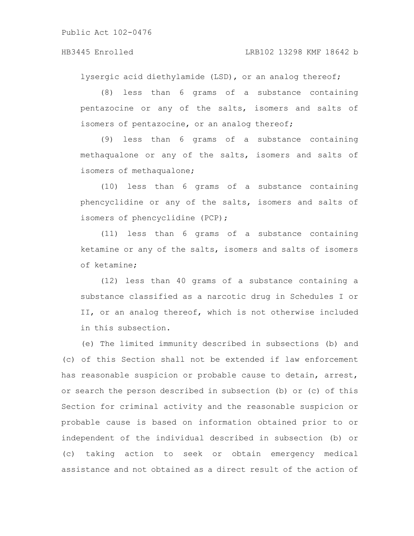## HB3445 Enrolled LRB102 13298 KMF 18642 b

lysergic acid diethylamide (LSD), or an analog thereof;

(8) less than 6 grams of a substance containing pentazocine or any of the salts, isomers and salts of isomers of pentazocine, or an analog thereof;

(9) less than 6 grams of a substance containing methaqualone or any of the salts, isomers and salts of isomers of methaqualone;

(10) less than 6 grams of a substance containing phencyclidine or any of the salts, isomers and salts of isomers of phencyclidine (PCP);

(11) less than 6 grams of a substance containing ketamine or any of the salts, isomers and salts of isomers of ketamine;

(12) less than 40 grams of a substance containing a substance classified as a narcotic drug in Schedules I or II, or an analog thereof, which is not otherwise included in this subsection.

(e) The limited immunity described in subsections (b) and (c) of this Section shall not be extended if law enforcement has reasonable suspicion or probable cause to detain, arrest, or search the person described in subsection (b) or (c) of this Section for criminal activity and the reasonable suspicion or probable cause is based on information obtained prior to or independent of the individual described in subsection (b) or (c) taking action to seek or obtain emergency medical assistance and not obtained as a direct result of the action of